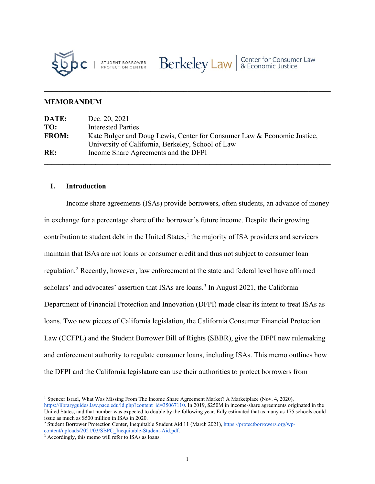

STUDENT BORROWER<br>PROTECTION CENTER



# **MEMORANDUM**

| DATE:        | Dec. 20, 2021                                                                                                                |
|--------------|------------------------------------------------------------------------------------------------------------------------------|
| TO:          | <b>Interested Parties</b>                                                                                                    |
| <b>FROM:</b> | Kate Bulger and Doug Lewis, Center for Consumer Law & Economic Justice,<br>University of California, Berkeley, School of Law |
| RE:          | Income Share Agreements and the DFPI                                                                                         |

**\_\_\_\_\_\_\_\_\_\_\_\_\_\_\_\_\_\_\_\_\_\_\_\_\_\_\_\_\_\_\_\_\_\_\_\_\_\_\_\_\_\_\_\_\_\_\_\_\_\_\_\_\_\_\_\_\_\_\_\_\_\_\_\_\_\_\_\_\_\_\_\_\_\_\_\_\_\_**

# **I. Introduction**

Income share agreements (ISAs) provide borrowers, often students, an advance of money in exchange for a percentage share of the borrower's future income. Despite their growing contribution to student debt in the United States, $<sup>1</sup>$  $<sup>1</sup>$  $<sup>1</sup>$  the majority of ISA providers and servicers</sup> maintain that ISAs are not loans or consumer credit and thus not subject to consumer loan regulation.<sup>[2](#page-0-1)</sup> Recently, however, law enforcement at the state and federal level have affirmed scholars' and advocates' assertion that ISAs are loans.<sup>[3](#page-0-2)</sup> In August 2021, the California Department of Financial Protection and Innovation (DFPI) made clear its intent to treat ISAs as loans. Two new pieces of California legislation, the California Consumer Financial Protection Law (CCFPL) and the Student Borrower Bill of Rights (SBBR), give the DFPI new rulemaking and enforcement authority to regulate consumer loans, including ISAs. This memo outlines how the DFPI and the California legislature can use their authorities to protect borrowers from

<span id="page-0-0"></span><sup>&</sup>lt;sup>1</sup> Spencer Israel, What Was Missing From The Income Share Agreement Market? A Marketplace (Nov. 4, 2020), [https://libraryguides.law.pace.edu/ld.php?content\\_id=35067110.](https://libraryguides.law.pace.edu/ld.php?content_id=35067110) In 2019, \$250M in income-share agreements originated in the United States, and that number was expected to double by the following year. Edly estimated that as many as 175 schools could issue as much as \$500 million in ISAs in 2020.

<span id="page-0-1"></span><sup>2</sup> Student Borrower Protection Center, Inequitable Student Aid 11 (March 2021), [https://protectborrowers.org/wp](https://protectborrowers.org/wp-content/uploads/2021/03/SBPC_Inequitable-Student-Aid.pdf)[content/uploads/2021/03/SBPC\\_Inequitable-Student-Aid.pdf.](https://protectborrowers.org/wp-content/uploads/2021/03/SBPC_Inequitable-Student-Aid.pdf) 3 Accordingly, this memo will refer to ISAs as loans.

<span id="page-0-2"></span>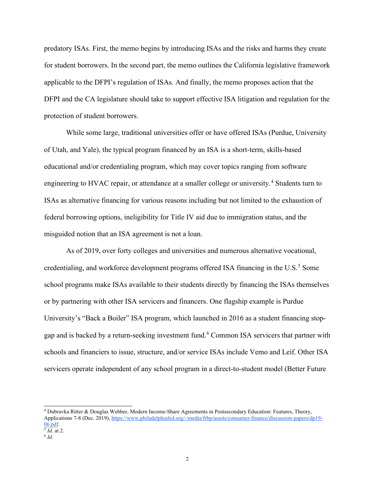predatory ISAs. First, the memo begins by introducing ISAs and the risks and harms they create for student borrowers. In the second part, the memo outlines the California legislative framework applicable to the DFPI's regulation of ISAs. And finally, the memo proposes action that the DFPI and the CA legislature should take to support effective ISA litigation and regulation for the protection of student borrowers.

While some large, traditional universities offer or have offered ISAs (Purdue, University of Utah, and Yale), the typical program financed by an ISA is a short-term, skills-based educational and/or credentialing program, which may cover topics ranging from software engineering to HVAC repair, or attendance at a smaller college or university.<sup>[4](#page-1-0)</sup> Students turn to ISAs as alternative financing for various reasons including but not limited to the exhaustion of federal borrowing options, ineligibility for Title IV aid due to immigration status, and the misguided notion that an ISA agreement is not a loan.

As of 2019, over forty colleges and universities and numerous alternative vocational, credentialing, and workforce development programs offered ISA financing in the U.S.<sup>[5](#page-1-1)</sup> Some school programs make ISAs available to their students directly by financing the ISAs themselves or by partnering with other ISA servicers and financers. One flagship example is Purdue University's "Back a Boiler" ISA program, which launched in 2016 as a student financing stop-gap and is backed by a return-seeking investment fund.<sup>[6](#page-1-2)</sup> Common ISA servicers that partner with schools and financiers to issue, structure, and/or service ISAs include Vemo and Leif. Other ISA servicers operate independent of any school program in a direct-to-student model (Better Future

<span id="page-1-0"></span><sup>4</sup> Dubravka Ritter & Douglas Webber, Modern Income-Share Agreements in Postsecondary Education: Features, Theory, Applications 7-8 (Dec. 2019), [https://www.philadelphiafed.org/-/media/frbp/assets/consumer-finance/discussion-papers/dp19-](https://www.philadelphiafed.org/-/media/frbp/assets/consumer-finance/discussion-papers/dp19-06.pdf)  $\frac{06.pdf}{5}$ *Id.* at 2.

<span id="page-1-2"></span><span id="page-1-1"></span>

<sup>6</sup> *Id.*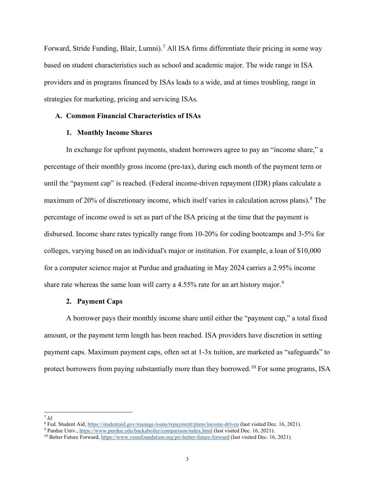Forward, Stride Funding, Blair, Lumni).<sup>[7](#page-2-0)</sup> All ISA firms differentiate their pricing in some way based on student characteristics such as school and academic major. The wide range in ISA providers and in programs financed by ISAs leads to a wide, and at times troubling, range in strategies for marketing, pricing and servicing ISAs.

## **A. Common Financial Characteristics of ISAs**

# **1. Monthly Income Shares**

In exchange for upfront payments, student borrowers agree to pay an "income share," a percentage of their monthly gross income (pre-tax), during each month of the payment term or until the "payment cap" is reached. (Federal income-driven repayment (IDR) plans calculate a maximum of 20% of discretionary income, which itself varies in calculation across plans). $8$  The percentage of income owed is set as part of the ISA pricing at the time that the payment is disbursed. Income share rates typically range from 10-20% for coding bootcamps and 3-5% for colleges, varying based on an individual's major or institution. For example, a loan of \$10,000 for a computer science major at Purdue and graduating in May 2024 carries a 2.95% income share rate whereas the same loan will carry a 4.55% rate for an art history major.<sup>[9](#page-2-2)</sup>

## **2. Payment Caps**

A borrower pays their monthly income share until either the "payment cap," a total fixed amount, or the payment term length has been reached. ISA providers have discretion in setting payment caps. Maximum payment caps, often set at 1-3x tuition, are marketed as "safeguards" to protect borrowers from paying substantially more than they borrowed.<sup>[10](#page-2-3)</sup> For some programs, ISA

<span id="page-2-0"></span> $^7$  *Id.* 

<span id="page-2-1"></span><sup>8</sup> Fed. Student Aid,<https://studentaid.gov/manage-loans/repayment/plans/income-driven> (last visited Dec. 16, 2021).

<span id="page-2-2"></span><sup>9</sup> Purdue Univ.[, https://www.purdue.edu/backaboiler/comparison/index.html](https://www.purdue.edu/backaboiler/comparison/index.html) (last visited Dec. 16, 2021).

<span id="page-2-3"></span><sup>10</sup> Better Future Forward,<https://www.vennfoundation.org/pri-better-future-forward> (last visited Dec. 16, 2021).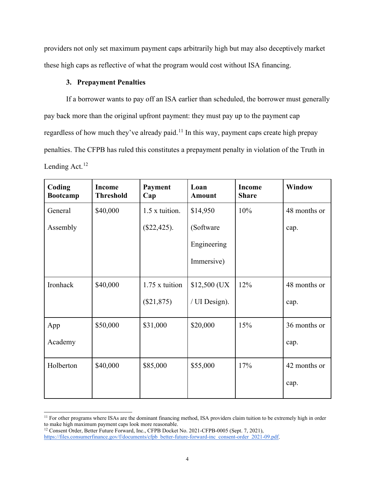providers not only set maximum payment caps arbitrarily high but may also deceptively market these high caps as reflective of what the program would cost without ISA financing.

# **3. Prepayment Penalties**

If a borrower wants to pay off an ISA earlier than scheduled, the borrower must generally pay back more than the original upfront payment: they must pay up to the payment cap regardless of how much they've already paid.<sup>[11](#page-3-0)</sup> In this way, payment caps create high prepay penalties. The CFPB has ruled this constitutes a prepayment penalty in violation of the Truth in Lending Act.<sup>[12](#page-3-1)</sup>

| Coding<br><b>Bootcamp</b> | <b>Income</b><br><b>Threshold</b> | Payment<br>Cap | Loan<br><b>Amount</b> | <b>Income</b><br><b>Share</b> | Window       |
|---------------------------|-----------------------------------|----------------|-----------------------|-------------------------------|--------------|
| General                   | \$40,000                          | 1.5 x tuition. | \$14,950              | 10%                           | 48 months or |
| Assembly                  |                                   | $(\$22,425).$  | (Software             |                               | cap.         |
|                           |                                   |                | Engineering           |                               |              |
|                           |                                   |                | Immersive)            |                               |              |
| Ironhack                  | \$40,000                          | 1.75 x tuition | \$12,500 (UX)         | 12%                           | 48 months or |
|                           |                                   | $(\$21,875)$   | / UI Design).         |                               | cap.         |
| App                       | \$50,000                          | \$31,000       | \$20,000              | 15%                           | 36 months or |
| Academy                   |                                   |                |                       |                               | cap.         |
| Holberton                 | \$40,000                          | \$85,000       | \$55,000              | 17%                           | 42 months or |
|                           |                                   |                |                       |                               | cap.         |

<span id="page-3-0"></span><sup>&</sup>lt;sup>11</sup> For other programs where ISAs are the dominant financing method, ISA providers claim tuition to be extremely high in order to make high maximum payment caps look more reasonable.

<span id="page-3-1"></span><sup>&</sup>lt;sup>12</sup> Consent Order, Better Future Forward, Inc., CFPB Docket No. 2021-CFPB-0005 (Sept. 7, 2021), [https://files.consumerfinance.gov/f/documents/cfpb\\_better-future-forward-inc\\_consent-order\\_2021-09.pdf.](https://files.consumerfinance.gov/f/documents/cfpb_better-future-forward-inc_consent-order_2021-09.pdf)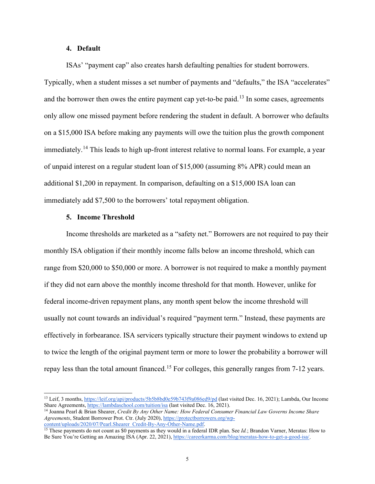# **4. Default**

ISAs' "payment cap" also creates harsh defaulting penalties for student borrowers. Typically, when a student misses a set number of payments and "defaults," the ISA "accelerates" and the borrower then owes the entire payment cap yet-to-be paid.<sup>[13](#page-4-0)</sup> In some cases, agreements only allow one missed payment before rendering the student in default. A borrower who defaults on a \$15,000 ISA before making any payments will owe the tuition plus the growth component immediately.<sup>[14](#page-4-1)</sup> This leads to high up-front interest relative to normal loans. For example, a year of unpaid interest on a regular student loan of \$15,000 (assuming 8% APR) could mean an additional \$1,200 in repayment. In comparison, defaulting on a \$15,000 ISA loan can immediately add \$7,500 to the borrowers' total repayment obligation.

### **5. Income Threshold**

Income thresholds are marketed as a "safety net." Borrowers are not required to pay their monthly ISA obligation if their monthly income falls below an income threshold, which can range from \$20,000 to \$50,000 or more. A borrower is not required to make a monthly payment if they did not earn above the monthly income threshold for that month. However, unlike for federal income-driven repayment plans, any month spent below the income threshold will usually not count towards an individual's required "payment term." Instead, these payments are effectively in forbearance. ISA servicers typically structure their payment windows to extend up to twice the length of the original payment term or more to lower the probability a borrower will repay less than the total amount financed.[15](#page-4-2) For colleges, this generally ranges from 7-12 years.

<span id="page-4-0"></span><sup>&</sup>lt;sup>13</sup> Leif, 3 months[, https://leif.org/api/products/5b5b8bd0e59b743f9a086ed9/pd](https://leif.org/api/products/5b5b8bd0e59b743f9a086ed9/pdf) (last visited Dec. 16, 2021); Lambda, Our Income Share Agreements[, https://lambdaschool.com/tuition/isa](https://lambdaschool.com/tuition/isa) (last visited Dec. 16, 2021).

<span id="page-4-1"></span><sup>14</sup> Joanna Pearl & Brian Shearer, *Credit By Any Other Name: How Federal Consumer Financial Law Governs Income Share Agreements*, Student Borrower Prot. Ctr. (July 2020)[, https://protectborrowers.org/wp](https://protectborrowers.org/wp-content/uploads/2020/07/Pearl.Shearer_Credit-By-Any-Other-Name.pdf)[content/uploads/2020/07/Pearl.Shearer\\_Credit-By-Any-Other-Name.pdf.](https://protectborrowers.org/wp-content/uploads/2020/07/Pearl.Shearer_Credit-By-Any-Other-Name.pdf)

<span id="page-4-2"></span><sup>&</sup>lt;sup>15</sup> These payments do not count as \$0 payments as they would in a federal IDR plan. See *Id.*; Brandon Varner, Meratas: How to Be Sure You're Getting an Amazing ISA (Apr. 22, 2021), [https://careerkarma.com/blog/meratas-how-to-get-a-good-isa/.](https://careerkarma.com/blog/meratas-how-to-get-a-good-isa/)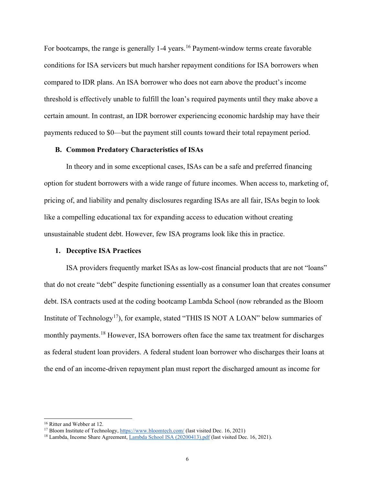For bootcamps, the range is generally 1-4 years.<sup>[16](#page-5-0)</sup> Payment-window terms create favorable conditions for ISA servicers but much harsher repayment conditions for ISA borrowers when compared to IDR plans. An ISA borrower who does not earn above the product's income threshold is effectively unable to fulfill the loan's required payments until they make above a certain amount. In contrast, an IDR borrower experiencing economic hardship may have their payments reduced to \$0—but the payment still counts toward their total repayment period.

#### **B. Common Predatory Characteristics of ISAs**

In theory and in some exceptional cases, ISAs can be a safe and preferred financing option for student borrowers with a wide range of future incomes. When access to, marketing of, pricing of, and liability and penalty disclosures regarding ISAs are all fair, ISAs begin to look like a compelling educational tax for expanding access to education without creating unsustainable student debt. However, few ISA programs look like this in practice.

#### **1. Deceptive ISA Practices**

ISA providers frequently market ISAs as low-cost financial products that are not "loans" that do not create "debt" despite functioning essentially as a consumer loan that creates consumer debt. ISA contracts used at the coding bootcamp Lambda School (now rebranded as the Bloom Institute of Technology<sup>[17](#page-5-1)</sup>), for example, stated "THIS IS NOT A LOAN" below summaries of monthly payments.<sup>[18](#page-5-2)</sup> However, ISA borrowers often face the same tax treatment for discharges as federal student loan providers. A federal student loan borrower who discharges their loans at the end of an income-driven repayment plan must report the discharged amount as income for

<span id="page-5-1"></span><span id="page-5-0"></span><sup>16</sup> Ritter and Webber at 12.

<sup>&</sup>lt;sup>17</sup> Bloom Institute of Technology,<https://www.bloomtech.com/> (last visited Dec. 16, 2021)

<span id="page-5-2"></span><sup>&</sup>lt;sup>18</sup> Lambda, Income Share Agreement, [Lambda School ISA \(20200413\).pdf](https://drive.google.com/file/d/1wLgwpPYcY5-UsuO0akE3lvVsLlRDRhXC/view) (last visited Dec. 16, 2021).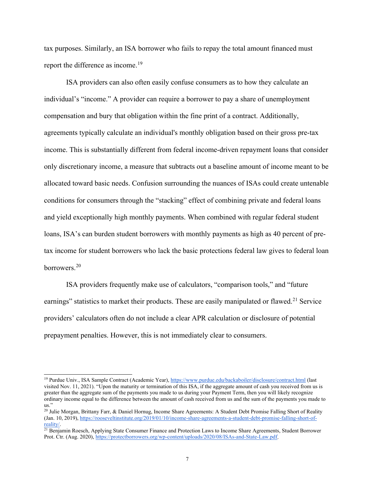tax purposes. Similarly, an ISA borrower who fails to repay the total amount financed must report the difference as income.[19](#page-6-0)

ISA providers can also often easily confuse consumers as to how they calculate an individual's "income." A provider can require a borrower to pay a share of unemployment compensation and bury that obligation within the fine print of a contract. Additionally, agreements typically calculate an individual's monthly obligation based on their gross pre-tax income. This is substantially different from federal income-driven repayment loans that consider only discretionary income, a measure that subtracts out a baseline amount of income meant to be allocated toward basic needs. Confusion surrounding the nuances of ISAs could create untenable conditions for consumers through the "stacking" effect of combining private and federal loans and yield exceptionally high monthly payments. When combined with regular federal student loans, ISA's can burden student borrowers with monthly payments as high as 40 percent of pretax income for student borrowers who lack the basic protections federal law gives to federal loan borrowers.[20](#page-6-1)

ISA providers frequently make use of calculators, "comparison tools," and "future earnings" statistics to market their products. These are easily manipulated or flawed.<sup>[21](#page-6-2)</sup> Service providers' calculators often do not include a clear APR calculation or disclosure of potential prepayment penalties. However, this is not immediately clear to consumers.

<span id="page-6-0"></span><sup>19</sup> Purdue Univ., ISA Sample Contract (Academic Year)[, https://www.purdue.edu/backaboiler/disclosure/contract.html](https://www.purdue.edu/backaboiler/disclosure/contract.html) (last visited Nov. 11, 2021). "Upon the maturity or termination of this ISA, if the aggregate amount of cash you received from us is greater than the aggregate sum of the payments you made to us during your Payment Term, then you will likely recognize ordinary income equal to the difference between the amount of cash received from us and the sum of the payments you made to us."

<span id="page-6-1"></span><sup>&</sup>lt;sup>20</sup> Julie Morgan, Brittany Farr, & Daniel Hornug, Income Share Agreements: A Student Debt Promise Falling Short of Reality (Jan. 10, 2019)[, https://rooseveltinstitute.org/2019/01/10/income-share-agreements-a-student-debt-promise-falling-short-of](https://rooseveltinstitute.org/2019/01/10/income-share-agreements-a-student-debt-promise-falling-short-of-reality/)[reality/.](https://rooseveltinstitute.org/2019/01/10/income-share-agreements-a-student-debt-promise-falling-short-of-reality/)

<span id="page-6-2"></span><sup>&</sup>lt;sup>21</sup> Benjamin Roesch, Applying State Consumer Finance and Protection Laws to Income Share Agreements, Student Borrower Prot. Ctr. (Aug. 2020), [https://protectborrowers.org/wp-content/uploads/2020/08/ISAs-and-State-Law.pdf.](https://protectborrowers.org/wp-content/uploads/2020/08/ISAs-and-State-Law.pdf)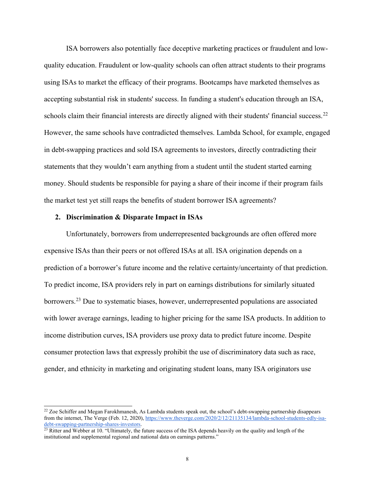ISA borrowers also potentially face deceptive marketing practices or fraudulent and lowquality education. Fraudulent or low-quality schools can often attract students to their programs using ISAs to market the efficacy of their programs. Bootcamps have marketed themselves as accepting substantial risk in students' success. In funding a student's education through an ISA, schools claim their financial interests are directly aligned with their students' financial success.<sup>[22](#page-7-0)</sup> However, the same schools have contradicted themselves. Lambda School, for example, engaged in debt-swapping practices and sold ISA agreements to investors, directly contradicting their statements that they wouldn't earn anything from a student until the student started earning money. Should students be responsible for paying a share of their income if their program fails the market test yet still reaps the benefits of student borrower ISA agreements?

### **2. Discrimination & Disparate Impact in ISAs**

Unfortunately, borrowers from underrepresented backgrounds are often offered more expensive ISAs than their peers or not offered ISAs at all. ISA origination depends on a prediction of a borrower's future income and the relative certainty/uncertainty of that prediction. To predict income, ISA providers rely in part on earnings distributions for similarly situated borrowers.<sup>[23](#page-7-1)</sup> Due to systematic biases, however, underrepresented populations are associated with lower average earnings, leading to higher pricing for the same ISA products. In addition to income distribution curves, ISA providers use proxy data to predict future income. Despite consumer protection laws that expressly prohibit the use of discriminatory data such as race, gender, and ethnicity in marketing and originating student loans, many ISA originators use

<span id="page-7-0"></span><sup>&</sup>lt;sup>22</sup> Zoe Schiffer and Megan Farokhmanesh, As Lambda students speak out, the school's debt-swapping partnership disappears from the internet, The Verge (Feb. 12, 2020)[, https://www.theverge.com/2020/2/12/21135134/lambda-school-students-edly-isa](https://www.theverge.com/2020/2/12/21135134/lambda-school-students-edly-isa-debt-swapping-partnership-shares-investors)[debt-swapping-partnership-shares-investors.](https://www.theverge.com/2020/2/12/21135134/lambda-school-students-edly-isa-debt-swapping-partnership-shares-investors)

<span id="page-7-1"></span> $23$  Ritter and Webber at 10. "Ultimately, the future success of the ISA depends heavily on the quality and length of the institutional and supplemental regional and national data on earnings patterns."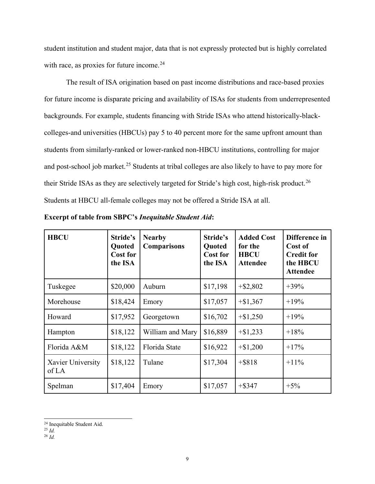student institution and student major, data that is not expressly protected but is highly correlated with race, as proxies for future income.<sup>[24](#page-8-0)</sup>

The result of ISA origination based on past income distributions and race-based proxies for future income is disparate pricing and availability of ISAs for students from underrepresented backgrounds. For example, students financing with Stride ISAs who attend historically-blackcolleges-and universities (HBCUs) pay 5 to 40 percent more for the same upfront amount than students from similarly-ranked or lower-ranked non-HBCU institutions, controlling for major and post-school job market.<sup>[25](#page-8-1)</sup> Students at tribal colleges are also likely to have to pay more for their Stride ISAs as they are selectively targeted for Stride's high cost, high-risk product.<sup>[26](#page-8-2)</sup> Students at HBCU all-female colleges may not be offered a Stride ISA at all.

| <b>HBCU</b>                | Stride's<br><b>Quoted</b><br><b>Cost for</b><br>the ISA | <b>Nearby</b><br><b>Comparisons</b> | Stride's<br>Quoted<br><b>Cost for</b><br>the ISA | <b>Added Cost</b><br>for the<br><b>HBCU</b><br><b>Attendee</b> | Difference in<br>Cost of<br><b>Credit for</b><br>the HBCU<br><b>Attendee</b> |
|----------------------------|---------------------------------------------------------|-------------------------------------|--------------------------------------------------|----------------------------------------------------------------|------------------------------------------------------------------------------|
| Tuskegee                   | \$20,000                                                | Auburn                              | \$17,198                                         | $+$ \$2,802                                                    | $+39%$                                                                       |
| Morehouse                  | \$18,424                                                | Emory                               | \$17,057                                         | $+\$1,367$                                                     | $+19%$                                                                       |
| Howard                     | \$17,952                                                | Georgetown                          | \$16,702                                         | $+\$1,250$                                                     | $+19%$                                                                       |
| Hampton                    | \$18,122                                                | William and Mary                    | \$16,889                                         | $+\$1,233$                                                     | $+18%$                                                                       |
| Florida A&M                | \$18,122                                                | Florida State                       | \$16,922                                         | $+\$1,200$                                                     | $+17%$                                                                       |
| Xavier University<br>of LA | \$18,122                                                | Tulane                              | \$17,304                                         | $+$ \$818                                                      | $+11\%$                                                                      |
| Spelman                    | \$17,404                                                | Emory                               | \$17,057                                         | $+$ \$347                                                      | $+5%$                                                                        |

|  |  | <b>Excerpt of table from SBPC's Inequitable Student Aid:</b> |
|--|--|--------------------------------------------------------------|
|--|--|--------------------------------------------------------------|

<span id="page-8-1"></span><sup>25</sup> *Id.*

<span id="page-8-0"></span><sup>24</sup> Inequitable Student Aid.

<span id="page-8-2"></span><sup>26</sup> *Id.*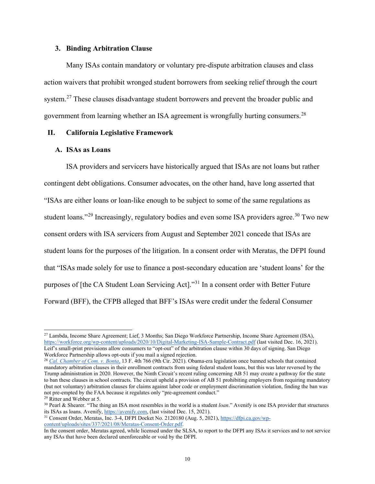### **3. Binding Arbitration Clause**

Many ISAs contain mandatory or voluntary pre-dispute arbitration clauses and class action waivers that prohibit wronged student borrowers from seeking relief through the court system.<sup>[27](#page-9-0)</sup> These clauses disadvantage student borrowers and prevent the broader public and government from learning whether an ISA agreement is wrongfully hurting consumers.<sup>[28](#page-9-1)</sup>

## **II. California Legislative Framework**

## **A. ISAs as Loans**

ISA providers and servicers have historically argued that ISAs are not loans but rather contingent debt obligations. Consumer advocates, on the other hand, have long asserted that "ISAs are either loans or loan-like enough to be subject to some of the same regulations as student loans."<sup>[29](#page-9-2)</sup> Increasingly, regulatory bodies and even some ISA providers agree.<sup>[30](#page-9-3)</sup> Two new consent orders with ISA servicers from August and September 2021 concede that ISAs are student loans for the purposes of the litigation. In a consent order with Meratas, the DFPI found that "ISAs made solely for use to finance a post-secondary education are 'student loans' for the purposes of [the CA Student Loan Servicing Act]."[31](#page-9-4) In a consent order with Better Future Forward (BFF), the CFPB alleged that BFF's ISAs were credit under the federal Consumer

<span id="page-9-0"></span><sup>27</sup> Lambda, Income Share Agreement; Lief, 3 Months; San Diego Workforce Partnership, Income Share Agreement (ISA), <https://workforce.org/wp-content/uploads/2020/10/Digital-Marketing-ISA-Sample-Contract.pdf> (last visited Dec. 16, 2021). Leif's small-print provisions allow consumers to "opt-out" of the arbitration clause within 30 days of signing. San Diego Workforce Partnership allows opt-outs if you mail a signed rejection.

<span id="page-9-1"></span><sup>28</sup> *[Cal. Chamber of Com. v. Bonta](https://cdn.ca9.uscourts.gov/datastore/opinions/2021/09/15/20-15291.pdf)*, 13 F. 4th 766 (9th Cir. 2021). Obama-era legislation once banned schools that contained mandatory arbitration clauses in their enrollment contracts from using federal student loans, but this was later reversed by the Trump administration in 2020. However, the Ninth Circuit's recent ruling concerning AB 51 may create a pathway for the state to ban these clauses in school contracts. The circuit upheld a provision of AB 51 prohibiting employers from requiring mandatory (but not voluntary) arbitration clauses for claims against labor code or employment discrimination violation, finding the ban was not pre-empted by the FAA because it regulates only "pre-agreement conduct."

<span id="page-9-2"></span><sup>29</sup> Ritter and Webber at 5.

<span id="page-9-3"></span><sup>30</sup> Pearl & Shearer. "The thing an ISA most resembles in the world is a student *loan*." Avenify is one ISA provider that structures its ISAs as loans. Avenify[, https://avenify.com,](https://avenify.com/howitworks) (last visited Dec. 15, 2021).

<span id="page-9-4"></span><sup>31</sup> Consent Order, Meratas, Inc. 3-4, DFPI Docket No. 2120180 (Aug. 5, 2021), [https://dfpi.ca.gov/wp](https://dfpi.ca.gov/wp-content/uploads/sites/337/2021/08/Meratas-Consent-Order.pdf)[content/uploads/sites/337/2021/08/Meratas-Consent-Order.pdf.](https://dfpi.ca.gov/wp-content/uploads/sites/337/2021/08/Meratas-Consent-Order.pdf) 

In the consent order, Meratas agreed, while licensed under the SLSA, to report to the DFPI any ISAs it services and to not service any ISAs that have been declared unenforceable or void by the DFPI.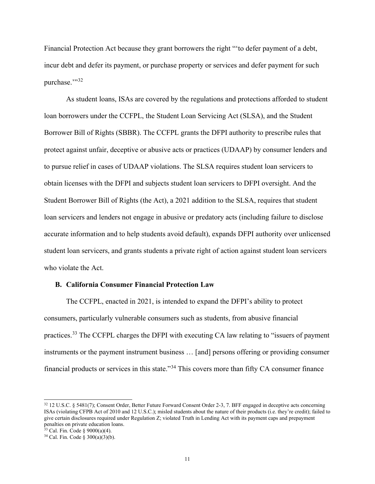Financial Protection Act because they grant borrowers the right "'to defer payment of a debt, incur debt and defer its payment, or purchase property or services and defer payment for such purchase."[32](#page-10-0)

As student loans, ISAs are covered by the regulations and protections afforded to student loan borrowers under the CCFPL, the Student Loan Servicing Act (SLSA), and the Student Borrower Bill of Rights (SBBR). The CCFPL grants the DFPI authority to prescribe rules that protect against unfair, deceptive or abusive acts or practices (UDAAP) by consumer lenders and to pursue relief in cases of UDAAP violations. The SLSA requires student loan servicers to obtain licenses with the DFPI and subjects student loan servicers to DFPI oversight. And the Student Borrower Bill of Rights (the Act), a 2021 addition to the SLSA, requires that student loan servicers and lenders not engage in abusive or predatory acts (including failure to disclose accurate information and to help students avoid default), expands DFPI authority over unlicensed student loan servicers, and grants students a private right of action against student loan servicers who violate the Act.

#### **B. California Consumer Financial Protection Law**

The CCFPL, enacted in 2021, is intended to expand the DFPI's ability to protect consumers, particularly vulnerable consumers such as students, from abusive financial practices.[33](#page-10-1) The CCFPL charges the DFPI with executing CA law relating to "issuers of payment instruments or the payment instrument business … [and] persons offering or providing consumer financial products or services in this state."[34](#page-10-2) This covers more than fifty CA consumer finance

<span id="page-10-0"></span><sup>32</sup> 12 U.S.C. § 5481(7); Consent Order, Better Future Forward Consent Order 2-3, 7. BFF engaged in deceptive acts concerning ISAs (violating CFPB Act of 2010 and 12 U.S.C.); misled students about the nature of their products (i.e. they're credit); failed to give certain disclosures required under Regulation Z; violated Truth in Lending Act with its payment caps and prepayment penalties on private education loans.

<span id="page-10-1"></span> $33$  Cal. Fin. Code § 9000(a)(4).

<span id="page-10-2"></span> $34$  Cal. Fin. Code §  $300(a)(3)(b)$ .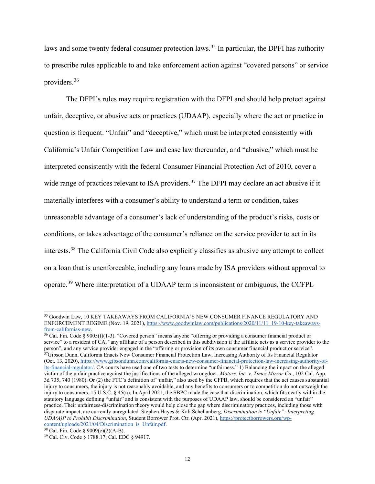laws and some twenty federal consumer protection laws.<sup>[35](#page-11-0)</sup> In particular, the DPFI has authority to prescribe rules applicable to and take enforcement action against "covered persons" or service providers.[36](#page-11-1)

The DFPI's rules may require registration with the DFPI and should help protect against unfair, deceptive, or abusive acts or practices (UDAAP), especially where the act or practice in question is frequent. "Unfair" and "deceptive," which must be interpreted consistently with California's Unfair Competition Law and case law thereunder, and "abusive," which must be interpreted consistently with the federal Consumer Financial Protection Act of 2010, cover a wide range of practices relevant to ISA providers.<sup>[37](#page-11-2)</sup> The DFPI may declare an act abusive if it materially interferes with a consumer's ability to understand a term or condition, takes unreasonable advantage of a consumer's lack of understanding of the product's risks, costs or conditions, or takes advantage of the consumer's reliance on the service provider to act in its interests.[38](#page-11-3) The California Civil Code also explicitly classifies as abusive any attempt to collect on a loan that is unenforceable, including any loans made by ISA providers without approval to operate.[39](#page-11-4) Where interpretation of a UDAAP term is inconsistent or ambiguous, the CCFPL

<span id="page-11-2"></span><span id="page-11-1"></span> $36$  Cal. Fin. Code § 9005(f)(1-3). "Covered person" means anyone "offering or providing a consumer financial product or service" to a resident of CA, "any affiliate of a person described in this subdivision if the affiliate acts as a service provider to the person", and any service provider engaged in the "offering or provision of its own consumer financial product or service". <sup>37</sup>Gibson Dunn, California Enacts New Consumer Financial Protection Law, Increasing Authority of Its Financial Regulator (Oct. 13, 2020)[, https://www.gibsondunn.com/california-enacts-new-consumer-financial-protection-law-increasing-authority-of](https://www.gibsondunn.com/california-enacts-new-consumer-financial-protection-law-increasing-authority-of-its-financial-regulator/)[its-financial-regulator/.](https://www.gibsondunn.com/california-enacts-new-consumer-financial-protection-law-increasing-authority-of-its-financial-regulator/) CA courts have used one of two tests to determine "unfairness." 1) Balancing the impact on the alleged victim of the unfair practice against the justifications of the alleged wrongdoer. *Motors, Inc. v. Times Mirror Co.*, 102 Cal. App. 3d 735, 740 (1980). Or (2) the FTC's definition of "unfair," also used by the CFPB, which requires that the act causes substantial injury to consumers, the injury is not reasonably avoidable, and any benefits to consumers or to competition do not outweigh the injury to consumers. 15 U.S.C. § 45(n). In April 2021, the SBPC made the case that discrimination, which fits neatly within the statutory language defining "unfair" and is consistent with the purposes of UDAAP law, should be considered an "unfair" practice. Their unfairness-discrimination theory would help close the gap where discriminatory practices, including those with disparate impact, are currently unregulated. Stephen Hayes & Kali Schellanberg, *Discrimination is "Unfair": Interpreting UDA(A)P to Prohibit Discrimination*, Student Borrower Prot. Ctr. (Apr. 2021), [https://protectborrowers.org/wp](https://protectborrowers.org/wp-content/uploads/2021/04/Discrimination_is_Unfair.pdf)[content/uploads/2021/04/Discrimination\\_is\\_Unfair.pdf.](https://protectborrowers.org/wp-content/uploads/2021/04/Discrimination_is_Unfair.pdf)

<span id="page-11-0"></span><sup>35</sup> Goodwin Law, 10 KEY TAKEAWAYS FROM CALIFORNIA'S NEW CONSUMER FINANCE REGULATORY AND ENFORCEMENT REGIME (Nov. 19, 2021), https://www.goodwinlaw.com/publications/2020/11/11\_19-10-key-takeaways-<br>from-californias-new.

 $38$  Cal. Fin. Code § 9009(c)(2)(A-B).

<span id="page-11-4"></span><span id="page-11-3"></span><sup>39</sup> Cal. Civ. Code § 1788.17; Cal. EDC § 94917.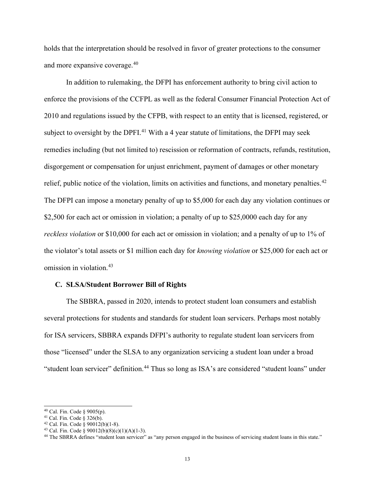holds that the interpretation should be resolved in favor of greater protections to the consumer and more expansive coverage.[40](#page-12-0)

In addition to rulemaking, the DFPI has enforcement authority to bring civil action to enforce the provisions of the CCFPL as well as the federal Consumer Financial Protection Act of 2010 and regulations issued by the CFPB, with respect to an entity that is licensed, registered, or subject to oversight by the DPFI.<sup>[41](#page-12-1)</sup> With a 4 year statute of limitations, the DFPI may seek remedies including (but not limited to) rescission or reformation of contracts, refunds, restitution, disgorgement or compensation for unjust enrichment, payment of damages or other monetary relief, public notice of the violation, limits on activities and functions, and monetary penalties.<sup>[42](#page-12-2)</sup> The DFPI can impose a monetary penalty of up to \$5,000 for each day any violation continues or \$2,500 for each act or omission in violation; a penalty of up to \$25,0000 each day for any *reckless violation* or \$10,000 for each act or omission in violation; and a penalty of up to 1% of the violator's total assets or \$1 million each day for *knowing violation* or \$25,000 for each act or omission in violation.[43](#page-12-3)

### **C. SLSA/Student Borrower Bill of Rights**

The SBBRA, passed in 2020, intends to protect student loan consumers and establish several protections for students and standards for student loan servicers. Perhaps most notably for ISA servicers, SBBRA expands DFPI's authority to regulate student loan servicers from those "licensed" under the SLSA to any organization servicing a student loan under a broad "student loan servicer" definition.<sup>[44](#page-12-4)</sup> Thus so long as ISA's are considered "student loans" under

<span id="page-12-0"></span><sup>40</sup> Cal. Fin. Code § 9005(p).

<span id="page-12-1"></span><sup>41</sup> Cal. Fin. Code § 326(b).

<sup>42</sup> Cal. Fin. Code § 90012(b)(1-8).

<span id="page-12-3"></span><span id="page-12-2"></span><sup>43</sup> Cal. Fin. Code § 90012(b)(8)(c)(1)(A)(1-3).

<span id="page-12-4"></span><sup>&</sup>lt;sup>44</sup> The SBRRA defines "student loan servicer" as "any person engaged in the business of servicing student loans in this state."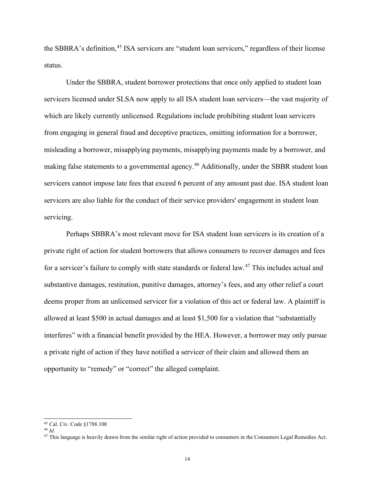the SBBRA's definition,<sup>[45](#page-13-0)</sup> ISA servicers are "student loan servicers," regardless of their license status.

Under the SBBRA, student borrower protections that once only applied to student loan servicers licensed under SLSA now apply to all ISA student loan servicers—the vast majority of which are likely currently unlicensed. Regulations include prohibiting student loan servicers from engaging in general fraud and deceptive practices, omitting information for a borrower, misleading a borrower, misapplying payments, misapplying payments made by a borrower, and making false statements to a governmental agency.<sup>[46](#page-13-1)</sup> Additionally, under the SBBR student loan servicers cannot impose late fees that exceed 6 percent of any amount past due. ISA student loan servicers are also liable for the conduct of their service providers' engagement in student loan servicing.

Perhaps SBBRA's most relevant move for ISA student loan servicers is its creation of a private right of action for student borrowers that allows consumers to recover damages and fees for a servicer's failure to comply with state standards or federal law.[47](#page-13-2) This includes actual and substantive damages, restitution, punitive damages, attorney's fees, and any other relief a court deems proper from an unlicensed servicer for a violation of this act or federal law. A plaintiff is allowed at least \$500 in actual damages and at least \$1,500 for a violation that "substantially interferes" with a financial benefit provided by the HEA. However, a borrower may only pursue a private right of action if they have notified a servicer of their claim and allowed them an opportunity to "remedy" or "correct" the alleged complaint.

<span id="page-13-0"></span><sup>45</sup> Cal. Civ. Code §1788.100

<span id="page-13-1"></span><sup>46</sup> *Id.*

<span id="page-13-2"></span><sup>&</sup>lt;sup>47</sup> This language is heavily drawn from the similar right of action provided to consumers in the Consumers Legal Remedies Act.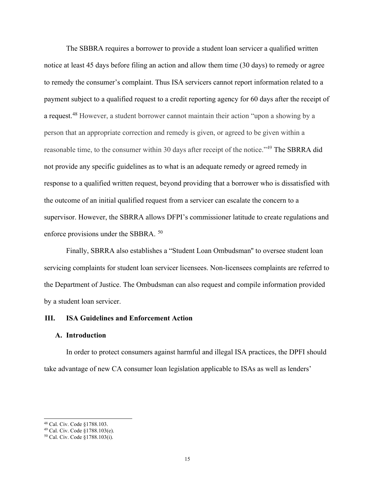The SBBRA requires a borrower to provide a student loan servicer a qualified written notice at least 45 days before filing an action and allow them time (30 days) to remedy or agree to remedy the consumer's complaint. Thus ISA servicers cannot report information related to a payment subject to a qualified request to a credit reporting agency for 60 days after the receipt of a request.[48](#page-14-0) However, a student borrower cannot maintain their action "upon a showing by a person that an appropriate correction and remedy is given, or agreed to be given within a reasonable time, to the consumer within 30 days after receipt of the notice."<sup>[49](#page-14-1)</sup> The SBRRA did not provide any specific guidelines as to what is an adequate remedy or agreed remedy in response to a qualified written request, beyond providing that a borrower who is dissatisfied with the outcome of an initial qualified request from a servicer can escalate the concern to a supervisor. However, the SBRRA allows DFPI's commissioner latitude to create regulations and enforce provisions under the SBBRA. [50](#page-14-2)

Finally, SBRRA also establishes a "Student Loan Ombudsman'' to oversee student loan servicing complaints for student loan servicer licensees. Non-licensees complaints are referred to the Department of Justice. The Ombudsman can also request and compile information provided by a student loan servicer.

## **III. ISA Guidelines and Enforcement Action**

#### **A. Introduction**

In order to protect consumers against harmful and illegal ISA practices, the DPFI should take advantage of new CA consumer loan legislation applicable to ISAs as well as lenders'

<span id="page-14-0"></span><sup>48</sup> Cal. Civ. Code §1788.103.

<sup>49</sup> Cal. Civ. Code §1788.103(e).

<span id="page-14-2"></span><span id="page-14-1"></span><sup>50</sup> Cal. Civ. Code §1788.103(i).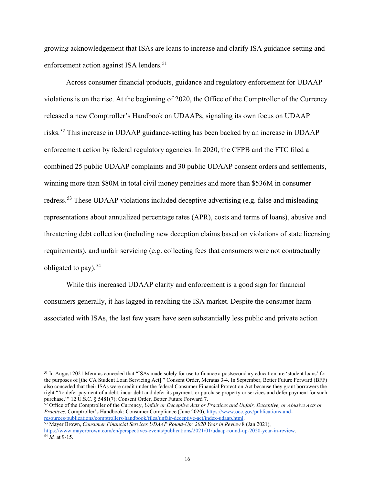growing acknowledgement that ISAs are loans to increase and clarify ISA guidance-setting and enforcement action against ISA lenders.<sup>[51](#page-15-0)</sup>

Across consumer financial products, guidance and regulatory enforcement for UDAAP violations is on the rise. At the beginning of 2020, the Office of the Comptroller of the Currency released a new Comptroller's Handbook on UDAAPs, signaling its own focus on UDAAP risks.[52](#page-15-1) This increase in UDAAP guidance-setting has been backed by an increase in UDAAP enforcement action by federal regulatory agencies. In 2020, the CFPB and the FTC filed a combined 25 public UDAAP complaints and 30 public UDAAP consent orders and settlements, winning more than \$80M in total civil money penalties and more than \$536M in consumer redress.[53](#page-15-2) These UDAAP violations included deceptive advertising (e.g. false and misleading representations about annualized percentage rates (APR), costs and terms of loans), abusive and threatening debt collection (including new deception claims based on violations of state licensing requirements), and unfair servicing (e.g. collecting fees that consumers were not contractually obligated to pay).<sup>[54](#page-15-3)</sup>

While this increased UDAAP clarity and enforcement is a good sign for financial consumers generally, it has lagged in reaching the ISA market. Despite the consumer harm associated with ISAs, the last few years have seen substantially less public and private action

<span id="page-15-1"></span><sup>52</sup> Office of the Comptroller of the Currency, *Unfair or Deceptive Acts or Practices and Unfair, Deceptive, or Abusive Acts or Practices*, Comptroller's Handbook: Consumer Compliance (June 2020)[, https://www.occ.gov/publications-and](https://www.occ.gov/publications-and-resources/publications/comptrollers-handbook/files/unfair-deceptive-act/index-udaap.html)[resources/publications/comptrollers-handbook/files/unfair-deceptive-act/index-udaap.html.](https://www.occ.gov/publications-and-resources/publications/comptrollers-handbook/files/unfair-deceptive-act/index-udaap.html)

<span id="page-15-0"></span><sup>&</sup>lt;sup>51</sup> In August 2021 Meratas conceded that "ISAs made solely for use to finance a postsecondary education are 'student loans' for the purposes of [the CA Student Loan Servicing Act]." Consent Order, Meratas 3-4. In September, Better Future Forward (BFF) also conceded that their ISAs were credit under the federal Consumer Financial Protection Act because they grant borrowers the right "'to defer payment of a debt, incur debt and defer its payment, or purchase property or services and defer payment for such purchase.'" 12 U.S.C. § 5481(7); Consent Order, Better Future Forward 7.

<span id="page-15-3"></span><span id="page-15-2"></span><sup>53</sup> Mayer Brown, *Consumer Financial Services UDAAP Round-Up: 2020 Year in Review* 8 (Jan 2021), [https://www.mayerbrown.com/en/perspectives-events/publications/2021/01/udaap-round-up-2020-year-in-review.](https://www.mayerbrown.com/en/perspectives-events/publications/2021/01/udaap-round-up-2020-year-in-review) <sup>54</sup> *Id.* at 9-15.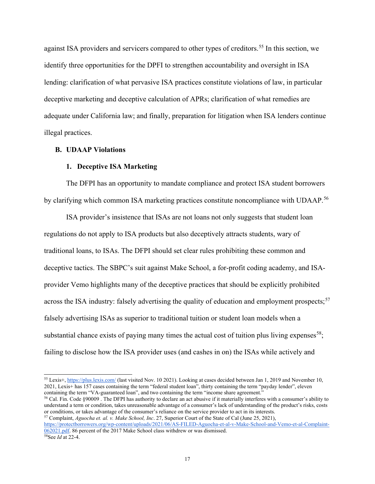against ISA providers and servicers compared to other types of creditors.<sup>[55](#page-16-0)</sup> In this section, we identify three opportunities for the DPFI to strengthen accountability and oversight in ISA lending: clarification of what pervasive ISA practices constitute violations of law, in particular deceptive marketing and deceptive calculation of APRs; clarification of what remedies are adequate under California law; and finally, preparation for litigation when ISA lenders continue illegal practices.

#### **B. UDAAP Violations**

## **1. Deceptive ISA Marketing**

The DFPI has an opportunity to mandate compliance and protect ISA student borrowers by clarifying which common ISA marketing practices constitute noncompliance with UDAAP.<sup>[56](#page-16-1)</sup>

ISA provider's insistence that ISAs are not loans not only suggests that student loan regulations do not apply to ISA products but also deceptively attracts students, wary of traditional loans, to ISAs. The DFPI should set clear rules prohibiting these common and deceptive tactics. The SBPC's suit against Make School, a for-profit coding academy, and ISAprovider Vemo highlights many of the deceptive practices that should be explicitly prohibited across the ISA industry: falsely advertising the quality of education and employment prospects;  $57$ falsely advertising ISAs as superior to traditional tuition or student loan models when a substantial chance exists of paying many times the actual cost of tuition plus living expenses<sup>[58](#page-16-3)</sup>; failing to disclose how the ISA provider uses (and cashes in on) the ISAs while actively and

<span id="page-16-2"></span><sup>57</sup> Complaint, *Aguocha et. al. v. Make School, Inc.* 27, Superior Court of the State of Cal (June 25, 2021),

<span id="page-16-3"></span>[https://protectborrowers.org/wp-content/uploads/2021/06/AS-FILED-Aguocha-et-al-v-Make-School-and-Vemo-et-al-Complaint-](https://protectborrowers.org/wp-content/uploads/2021/06/AS-FILED-Aguocha-et-al-v-Make-School-and-Vemo-et-al-Complaint-062021.pdf)[062021.pdf.](https://protectborrowers.org/wp-content/uploads/2021/06/AS-FILED-Aguocha-et-al-v-Make-School-and-Vemo-et-al-Complaint-062021.pdf) 86 percent of the 2017 Make School class withdrew or was dismissed. 58See *Id* at 22-4.

<span id="page-16-0"></span><sup>55</sup> Lexis+, [https://plus.lexis.com/](https://plus.lexis.com/firsttime?crid=0126c5b3-ae0f-4a2f-b78d-ec31daa49b19) (last visited Nov. 10 2021). Looking at cases decided between Jan 1, 2019 and November 10, 2021[, Lexis+](https://plus.lexis.com/) has 157 cases containing the term "federal student loan", thirty containing the term "payday lender", eleven containing the term "VA-guaranteed loan", and two containing the term "income share agreement."

<span id="page-16-1"></span><sup>56</sup> Cal. Fin. Code §90009 . The DFPI has authority to declare an act abusive if it materially interferes with a consumer's ability to understand a term or condition, takes unreasonable advantage of a consumer's lack of understanding of the product's risks, costs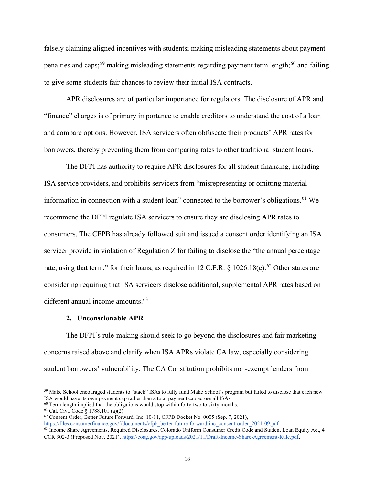falsely claiming aligned incentives with students; making misleading statements about payment penalties and caps;<sup>[59](#page-17-0)</sup> making misleading statements regarding payment term length;<sup>[60](#page-17-1)</sup> and failing to give some students fair chances to review their initial ISA contracts.

APR disclosures are of particular importance for regulators. The disclosure of APR and "finance" charges is of primary importance to enable creditors to understand the cost of a loan and compare options. However, ISA servicers often obfuscate their products' APR rates for borrowers, thereby preventing them from comparing rates to other traditional student loans.

The DFPI has authority to require APR disclosures for all student financing, including ISA service providers, and prohibits servicers from "misrepresenting or omitting material information in connection with a student loan" connected to the borrower's obligations.<sup>[61](#page-17-2)</sup> We recommend the DFPI regulate ISA servicers to ensure they are disclosing APR rates to consumers. The CFPB has already followed suit and issued a consent order identifying an ISA servicer provide in violation of Regulation Z for failing to disclose the "the annual percentage rate, using that term," for their loans, as required in 12 C.F.R.  $\S$  1026.18(e).<sup>[62](#page-17-3)</sup> Other states are considering requiring that ISA servicers disclose additional, supplemental APR rates based on different annual income amounts.<sup>[63](#page-17-4)</sup>

#### **2. Unconscionable APR**

The DFPI's rule-making should seek to go beyond the disclosures and fair marketing concerns raised above and clarify when ISA APRs violate CA law, especially considering student borrowers' vulnerability. The CA Constitution prohibits non-exempt lenders from

<span id="page-17-0"></span><sup>59</sup> Make School encouraged students to "stack" ISAs to fully fund Make School's program but failed to disclose that each new ISA would have its own payment cap rather than a total payment cap across all ISAs.

<span id="page-17-1"></span><sup>&</sup>lt;sup>60</sup> Term length implied that the obligations would stop within forty-two to sixty months.

<span id="page-17-2"></span><sup>61</sup> Cal. Civ.. Code § 1788.101 (a)(2)

<span id="page-17-3"></span> $62$  Consent Order, Better Future Forward, Inc. 10-11, CFPB Docket No. 0005 (Sep. 7, 2021), [https://files.consumerfinance.gov/f/documents/cfpb\\_better-future-forward-inc\\_consent-order\\_2021-09.pdf](https://files.consumerfinance.gov/f/documents/cfpb_better-future-forward-inc_consent-order_2021-09.pdf) <sup>63</sup> Income Share Agreements, Required Disclosures, Colorado Uniform Consumer Credit Code and Student Loan Equity Act, 4

<span id="page-17-4"></span>CCR 902-3 (Proposed Nov. 2021)[, https://coag.gov/app/uploads/2021/11/Draft-Income-Share-Agreement-Rule.pdf.](https://coag.gov/app/uploads/2021/11/Draft-Income-Share-Agreement-Rule.pdf)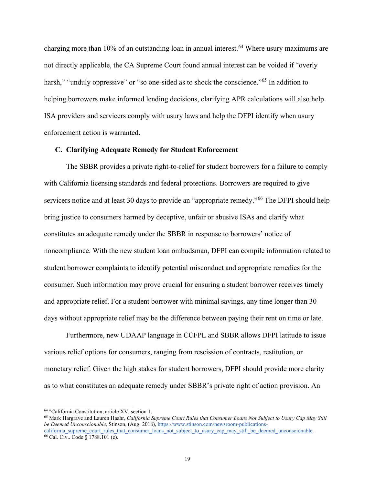charging more than  $10\%$  of an outstanding loan in annual interest.<sup>[64](#page-18-0)</sup> Where usury maximums are not directly applicable, the CA Supreme Court found annual interest can be voided if "overly harsh," "unduly oppressive" or "so one-sided as to shock the conscience."<sup>[65](#page-18-1)</sup> In addition to helping borrowers make informed lending decisions, clarifying APR calculations will also help ISA providers and servicers comply with usury laws and help the DFPI identify when usury enforcement action is warranted.

## **C. Clarifying Adequate Remedy for Student Enforcement**

The SBBR provides a private right-to-relief for student borrowers for a failure to comply with California licensing standards and federal protections. Borrowers are required to give servicers notice and at least 30 days to provide an "appropriate remedy."<sup>[66](#page-18-2)</sup> The DFPI should help bring justice to consumers harmed by deceptive, unfair or abusive ISAs and clarify what constitutes an adequate remedy under the SBBR in response to borrowers' notice of noncompliance. With the new student loan ombudsman, DFPI can compile information related to student borrower complaints to identify potential misconduct and appropriate remedies for the consumer. Such information may prove crucial for ensuring a student borrower receives timely and appropriate relief. For a student borrower with minimal savings, any time longer than 30 days without appropriate relief may be the difference between paying their rent on time or late.

Furthermore, new UDAAP language in CCFPL and SBBR allows DFPI latitude to issue various relief options for consumers, ranging from rescission of contracts, restitution, or monetary relief. Given the high stakes for student borrowers, DFPI should provide more clarity as to what constitutes an adequate remedy under SBBR's private right of action provision. An

<span id="page-18-0"></span><sup>64</sup> "California Constitution, article XV, section 1.

<span id="page-18-2"></span><span id="page-18-1"></span><sup>65</sup> Mark Hargrave and Lauren Haahr, *California Supreme Court Rules that Consumer Loans Not Subject to Usury Cap May Still be Deemed Unconscionable*, Stinson, (Aug. 2018)[, https://www.stinson.com/newsroom-publications](https://www.stinson.com/newsroom-publications-california_supreme_court_rules_that_consumer_loans_not_subject_to_usury_cap_may_still_be_deemed_unconscionable)[california\\_supreme\\_court\\_rules\\_that\\_consumer\\_loans\\_not\\_subject\\_to\\_usury\\_cap\\_may\\_still\\_be\\_deemed\\_unconscionable.](https://www.stinson.com/newsroom-publications-california_supreme_court_rules_that_consumer_loans_not_subject_to_usury_cap_may_still_be_deemed_unconscionable) <sup>66</sup> Cal. Civ.. Code § 1788.101 (e).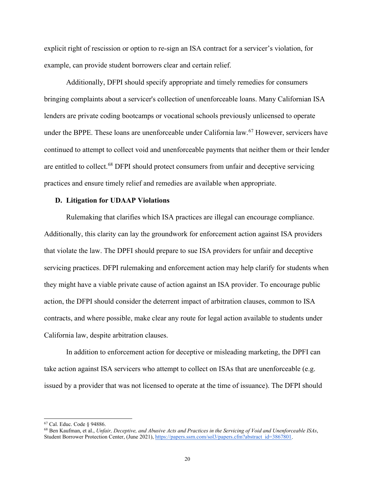explicit right of rescission or option to re-sign an ISA contract for a servicer's violation, for example, can provide student borrowers clear and certain relief.

Additionally, DFPI should specify appropriate and timely remedies for consumers bringing complaints about a servicer's collection of unenforceable loans. Many Californian ISA lenders are private coding bootcamps or vocational schools previously unlicensed to operate under the BPPE. These loans are unenforceable under California law.<sup>[67](#page-19-0)</sup> However, servicers have continued to attempt to collect void and unenforceable payments that neither them or their lender are entitled to collect.<sup>[68](#page-19-1)</sup> DFPI should protect consumers from unfair and deceptive servicing practices and ensure timely relief and remedies are available when appropriate.

## **D. Litigation for UDAAP Violations**

Rulemaking that clarifies which ISA practices are illegal can encourage compliance. Additionally, this clarity can lay the groundwork for enforcement action against ISA providers that violate the law. The DPFI should prepare to sue ISA providers for unfair and deceptive servicing practices. DFPI rulemaking and enforcement action may help clarify for students when they might have a viable private cause of action against an ISA provider. To encourage public action, the DFPI should consider the deterrent impact of arbitration clauses, common to ISA contracts, and where possible, make clear any route for legal action available to students under California law, despite arbitration clauses.

In addition to enforcement action for deceptive or misleading marketing, the DPFI can take action against ISA servicers who attempt to collect on ISAs that are unenforceable (e.g. issued by a provider that was not licensed to operate at the time of issuance). The DFPI should

<span id="page-19-0"></span><sup>67</sup> Cal. Educ. Code § 94886.

<span id="page-19-1"></span><sup>68</sup> Ben Kaufman, et al., *Unfair, Deceptive, and Abusive Acts and Practices in the Servicing of Void and Unenforceable ISAs*, Student Borrower Protection Center, (June 2021)[, https://papers.ssrn.com/sol3/papers.cfm?abstract\\_id=3867801.](https://papers.ssrn.com/sol3/papers.cfm?abstract_id=3867801)